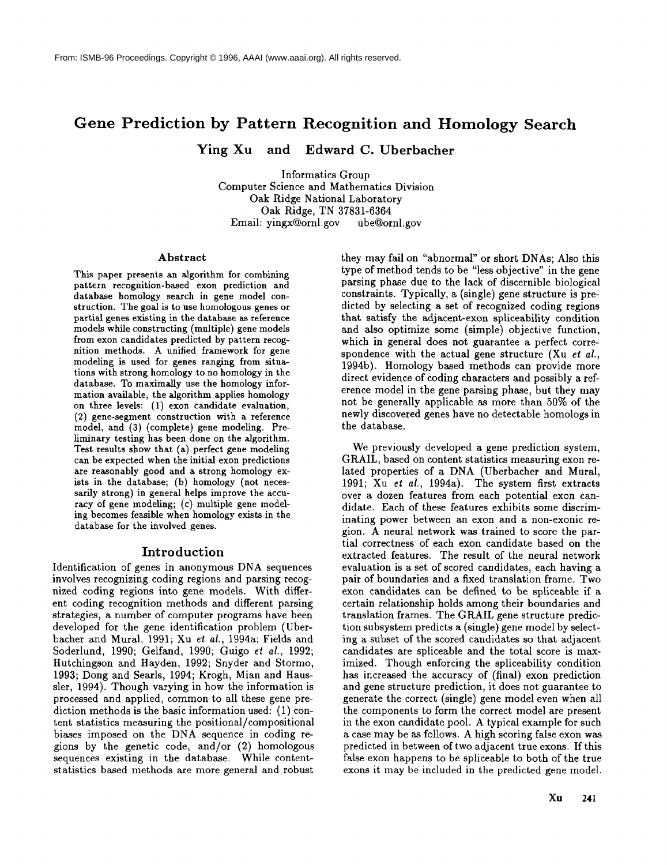# **Gene Prediction by Pattern Recognition and Homology Search**

Ying Xu and Edward C. Uberbacher

Informatics Group Computer Science and Mathematics Division Oak Ridge National Laboratory Oak Ridge, TN 37831-6364 Email: yingx@ornl.gov ube@ornl.gov

#### **Abstract**

This paper presents an algorithm for combining pattern recognition-based exon prediction and database homology search in gene model construction. The goal is to use homologous genes or partial genes existing in the database as reference models while constructing (multiple) gene models from exon candidates predicted by pattern recognition methods. A unified framework for gene modeling is used for genes ranging from situations with strong homology to no homology in the database. To maximally use the homology information available, the algorithm applies homology on three levels: (1) exon candidate evaluation, (2) gene-segment construction with a reference model, and (3) (complete) gene modeling. liminary testing has been done on the algorithm. Test results show that (a) perfect gene modeling can be expected when the initial exon predictions are reasonably good and a strong homology exists in the database; (b) homology (not necessarily strong) in general helps improve the accuracy of gene modeling; (c) multiple gene modeling becomes feasible when homology exists in the database for the involved genes.

#### **Introduction**

Identification of genes in anonymous DNA sequences involves recognizing coding regions and parsing recognized coding regions into gene models. With different coding recognition methods and different parsing strategies, a number of computer programs have been developed for the gene identification problem (Uberbacher and Mural, 1991; Xu et al., 1994a; Fields and Soderlund, 1990; Gelfand, 1990; Guigo el *al.,* 1992; Hutchingson and Hayden, 1992; Snyder and Stormo, 1993; Dong and Searls, 1994; Krogh, Mian and Haussler, 1994). Though varying in how the information is processed and applied, common to all these gene prediction methods is the basic information used: (1) content statistics measuring the positional/compositional biases imposed on the DNA sequence in coding regions by the genetic code, and/or (2) homologous sequences existing in the database. While contentstatistics based methods are more general and robust

they may fail on "abnormal" or short DNAs; Also this type of method tends to be "less objective" in the gene parsing phase due to the lack of discernible biological constraints. Typically, a (single) gene structure is predicted by selecting a set of recognized coding regions that satisfy the adjacent-exon spliceability condition and also optimize some (simple) objective function, which in general does not guarantee a perfect correspondence with the actual gene structure (Xu *et al.,* 1994b). Homology based methods can provide more direct evidence of coding characters and possibly a reference model in the gene parsing phase, but they may not be generally applicable as more than 50% of the newly discovered genes have no detectable homologs in the database.

We previously developed a gene prediction system, GRAIL, based on content statistics measuring exon related properties of a DNA (Uberbacher and Mural, 1991; Xu *et al.,* 1994a). The system first extracts over a dozen features from each potential exon candidate. Each of these features exhibits some discriminating power between an exon and a non-exonic region. A neural network was trained to score the partial correctness of each exon candidate based on the extracted features. The result of the neural network evaluation is a set of scored candidates, each having a pair of boundaries and a fixed translation frame. Two exon candidates can be defined to be spliceable if a certain relationship holds among their boundaries and translation frames. The GRAIL gene structure prediction subsystem predicts a (single) gene model by selecting a subset of the scored candidates so that adjacent candidates are spliceable and the total score is maximized. Though enforcing the spliceability condition has increased the accuracy of (final) exon prediction and gene structure prediction, it does not guarantee to generate the correct (single) gene model even when all the components to form the correct model are present in the exon candidate pool. A typical example for such a case may be as follows. A high scoring false exon was predicted in between of two adjacent true exons. If this false exon happens to be spliceable to both of the true exons it may be included in the predicted gene model.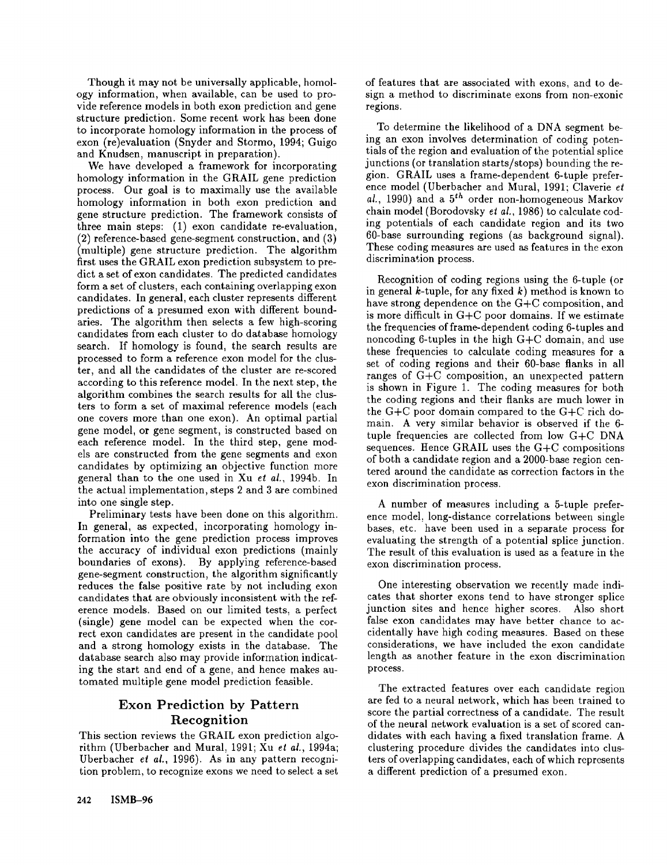Though it may not be universally applicable, homology information, when available, can be used to provide reference models in both exon prediction and gene structure prediction. Some recent work has been done to incorporate homology information in the process of exon (re)evaluation (Snyder and Stormo, 1994; Guigo and Knudsen, manuscript in preparation).

We have developed a framework for incorporating homology information in the GRAIL gene prediction process. Our goal is to maximally use the available homology information in both exon prediction and gene structure prediction. The framework consists of three main steps: (1) exon candidate re-evaluation, (2) reference-based gene-segment construction, and (3) (multiple) gene structure prediction. The algorithm first uses the GRAIL exon prediction subsystem to predict a set of exon candidates. The predicted candidates form a set of clusters, each containing overlapping exon candidates. In general, each cluster represents different predictions of a presumed exon with different boundaries. The algorithm then selects a few high-scoring candidates from each cluster to do database homology search. If homology is found, the search results are processed to form a reference exon model for the cluster, and all the candidates of the cluster are re-scored according to this reference model. In the next step, the algorithm combines the search results for all the clusters to form a set of maximal reference models (each one covers more than one exon). An optimal partial gene model, or gene segment, is constructed based on each reference model. In the third step, gene models are constructed from the gene segments and exon candidates by optimizing an objective function more general than to the one used in Xu *et al.,* 1994b. In the actual implementation, steps 2 and 3 are combined into one single step.

Preliminary tests have been done on this algorithm. In general, as expected, incorporating homology information into the gene prediction process improves the accuracy of individual exon predictions (mainly boundaries of exons). By applying reference-based gene-segment construction, the algorithm significantly reduces the false positive rate by not including exon candidates that are obviously inconsistent with the reference models. Based on our limited tests, a perfect (single) gene model can be expected when the correct exon candidates are present in the candidate pool and a strong homology exists in the database. The database search also may provide information indicating the start and end of a gene, and hence makes automated multiple gene model prediction feasible.

# **Exon Prediction by** Pattern **Recognition**

This section reviews the GRAIL exon prediction algorithm (Uberbacher and Mural, 1991; Xu *et al.,* 1994a; Uberbacher *el al.,* 1996). As in any pattern recognition problem, to recognize exons we need to select a set of features that are associated with exons, and to design a method to discriminate exons from non-exonic regions.

To determine the likelihood of a DNA segment being an exon involves determination of coding potentials of the region and evaluation of the potential splice junctions (or translation starts/stops) bounding the region. GRAIL uses a frame-dependent 6-tuple preference model (Uberbacher and Mural, 1991; Claverie *et*  $a\ell$ , 1990) and a  $5^{th}$  order non-homogeneous Markov chain model (Borodovsky el *al.,* 1986) to calculate coding potentials of each candidate region and its two 60-base surrounding regions (as background signal). These coding measures are used as features in the exon discrimination process.

Recognition of coding regions using the 6-tuple (or in general k-tuple, for any fixed  $k$ ) method is known to have strong dependence on the G+C composition, and is more difficult in G+C poor domains. If we estimate the frequencies of frame-dependent coding 6-tuples and noncoding 6-tuples in the high G+C domain, and use these frequencies to calculate coding measures for a set of coding regions and their 60-base flanks in all ranges of  $G+C$  composition, an unexpected pattern is shown in Figure 1. The coding measures for both the coding regions and their flanks are much lower in the G+C poor domain compared to the G+C rich domain. A very similar behavior is observed if the 6 tuple frequencies are collected from low G+C DNA sequences. Hence GRAIL uses the G+C compositions of both a candidate region and a 2000-base region centered around the candidate as correction factors in the exon discrimination process.

A number of measures including a 5-tuple preference model, long-distance correlations between single bases, etc. have been used in a separate process for evaluating the strength of a potential splice junction. The result of this evaluation is used as a feature in the exon discrimination process.

One interesting observation we recently made indicates that shorter exons tend to have stronger splice junction sites and hence higher scores. Also short false exon candidates may have better chance to accidentally have high coding measures. Based on these considerations, we have included the exon candidate length as another feature in the exon discrimination process.

The extracted features over each candidate region are fed to a neural network, which has been trained to score the partial correctness of a candidate. The result of the neural network evaluation is a set of scored candidates with each having a fixed translation frame. A clustering procedure divides the candidates into clusters of overlapping candidates, each of which rcprcsents a different prediction of a presumed exon.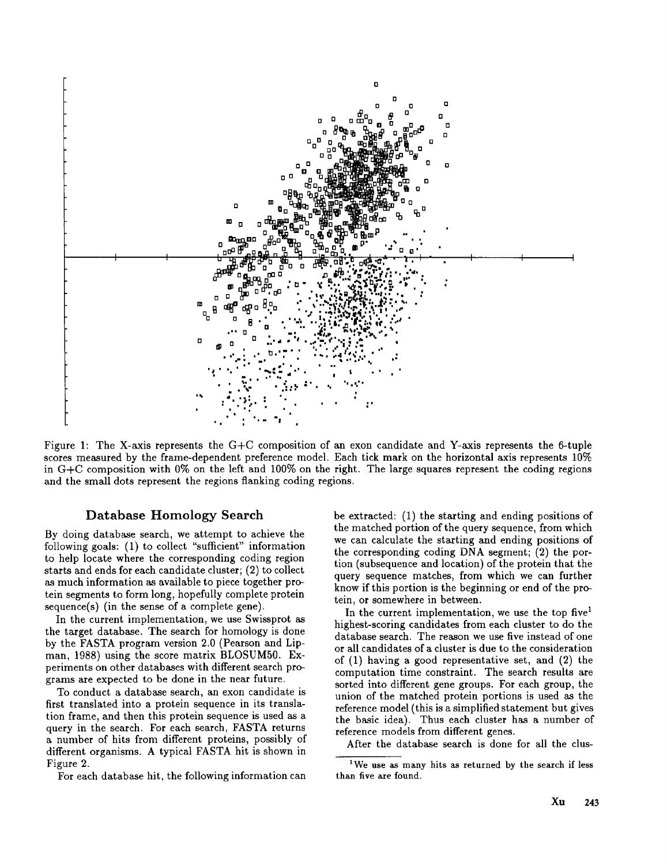

Figure 1: The X-axis represents the  $G+C$  composition of an exon candidate and Y-axis represents the 6-tuple scores measured by the frame-dependent preference model. Each tick mark on the horizontal axis represents 10% in G+C composition with 0% on the left and 100% on the right. The large squares represent the coding regions and the small dots represent the regions flanking coding regions.

# **Database Homology Search**

By doing database search, we attempt to achieve the following goals:  $(1)$  to collect "sufficient" information to help locate where the corresponding coding region starts and ends for each candidate cluster; (2) to collect as much information as available to piece together protein segments to form long, hopefully complete protein sequence(s) (in the sense of a complete gene).

In the current implementation, we use Swissprot as the target database. The search for homology is done by the FASTA program version 2.0 (Pearson and Lipman, 1988) using the score matrix BLOSUM50. Experiments on other databases with different search programs are expected to be done in the near future.

To conduct a database search, an exon candidate is first translated into a protein sequence in its translation frame, and then this protein sequence is used as a query in the search. For each search, FASTA returns a number of hits from different proteins, possibly of different organisms. A typical FASTA hit is shown in Figure 2.

For each database hit, the following information can

be extracted: (1) the starting and ending positions the matched portion of the query sequence, from which we can calculate the starting and ending positions of the corresponding coding DNA segment; (2) the portion (subsequence and location) of the protein that the query sequence matches, from which we can further know if this portion is the beginning or end of the protein, or somewhere in between.

In the current implementation, we use the top five  $1$ highest-scoring candidates from each cluster to do the database search. The reason we use five instead of one or all candidates of a cluster is due to the consideration of (1) having a good representative set, and (2) computation time constraint. The search results are sorted into different gene groups. For each group, the union of the matched protein portions is used as the reference model (this is a simplified statement but gives the basic idea). Thus each cluster has a number of reference models from different genes.

After the database search is done for all the clus-

<sup>&</sup>lt;sup>1</sup>We use as many hits as returned by the search if less than five are found.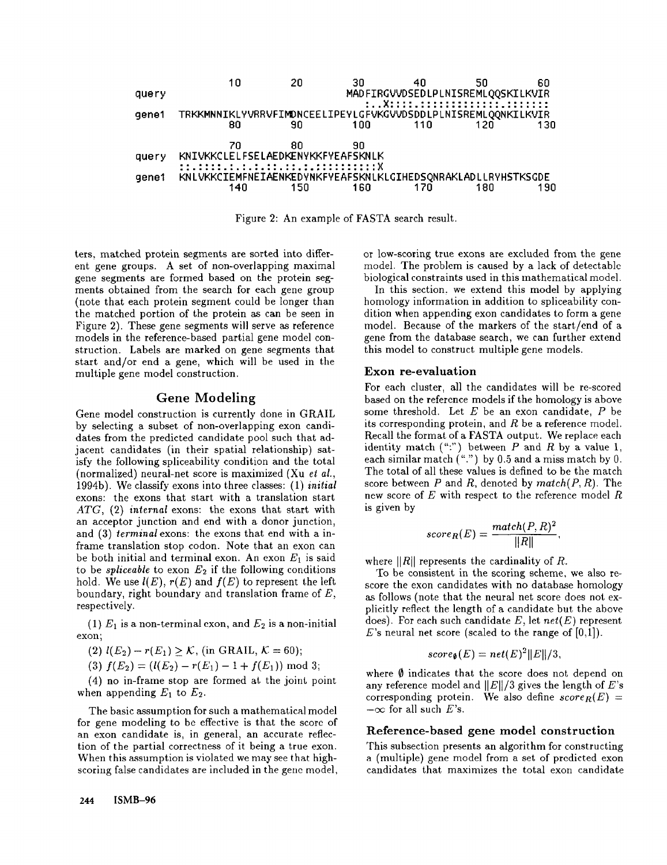

Figure 2: An example of FASTA search result.

ters, matched protein segments are sorted into different gene groups. A set of non-overlapping maximal gene segments are formed based on the protein segments obtained from the search for each gene group (note that each protein segment could be longer than the matched portion of the protein as can be seen in Figure 2). These gene segments will serve as reference models in the reference-based partial gene model construction. Labels are marked on gene segments that start and/or end a gene, which will be used in the multiple gene model construction.

## **Gene Modeling**

Gene model construction is currently done in **GRAIL** by selecting a subset of non-overlapping exon candidates from the predicted candidate pool such that adjacent candidates (in their spatial relationship) satisfy the following spliceability condition and the total (normalized) neural-net score is maximized (Xu *el al.,* 1994b). We classify exons into three classes: (1) *initial* exons: the exons that start with a translation start *ATG,* (2) *internal* exons: the exons that start with an acceptor junction and end with a donor junction, and (3) *terminal* exons: the exons that end with a inframe translation stop codon. Note that an exon can be both initial and terminal exon. An exon  $E_1$  is said to be *spliceable* to exon  $E_2$  if the following conditions hold. We use  $l(E)$ ,  $r(E)$  and  $f(E)$  to represent the left boundary, right boundary and translation frame of  $E$ , respectively.

(1)  $E_1$  is a non-terminal exon, and  $E_2$  is a non-initial exon;

(2)  $l(E_2) - r(E_1) \geq K$ , (in GRAIL,  $K = 60$ );

(3)  $f(E_2) = (l(E_2) - r(E_1) - 1 + f(E_1)) \mod 3;$ 

(4) no in-frame stop are formed at the joint point when appending  $E_1$  to  $E_2$ .

The basic assumption for such a mathematical model for gene modeling to be effective is that the score of an exon candidate is, in general, an accurate reflection of the partial correctness of it being a true exon. When this assumption is violated we may see that highscoring false candidates are included in the gene model, or low-scoring true exons are excluded from the gene model. The problem is caused by a lack of detectable biological constraints used in this mathematical model.

In this section, we extend this model by applying homology information in addition to spliceability condition when appending exon candidates to form a gene model. Because of the markers of the start/end of a gene from the database search, we can further extend this model to construct multiple gene models.

#### Exon re-evaluation

For each cluster, all the candidates will be re-scored based on the reference models if the homology is above some threshold. Let  $E$  be an exon candidate,  $P$  be its corresponding protein, and  $R$  be a reference model. Recall the format of a FASTA output. We replace each identity match  $("")$  between P and R by a value 1, each similar match  $("")$  by 0.5 and a miss match by 0. The total of all these values is defined to be the match score between  $P$  and  $R$ , denoted by  $match(P, R)$ . The new score of  $E$  with respect to the reference model  $R$ is given by

$$
score_R(E) = \frac{match(P, R)^2}{\|R\|},
$$

where  $||R||$  represents the cardinality of R.

To be consistent in the scoring scheme, we also rescore the exon candidates with no database homology as follows (note that the neural net score does not explicitly reflect the length of a candidate but the above does). For each such candidate E, let *net(E)* represent E's neural net score (scaled to the range of  $[0,1]$ ).

$$
score_{\emptyset}(E) = net(E)^{2} ||E||/3,
$$

where  $\emptyset$  indicates that the score does not depend on any reference model and  $||E||/3$  gives the length of E's corresponding protein. We also define  $score_R(E) =$  $-\infty$  for all such E's.

#### **Reference-based gene model** construction

This subsection presents an algorithm for constructing a (multiple) gene model from a set of predicted exon candidates that. maximizes the total exon candidate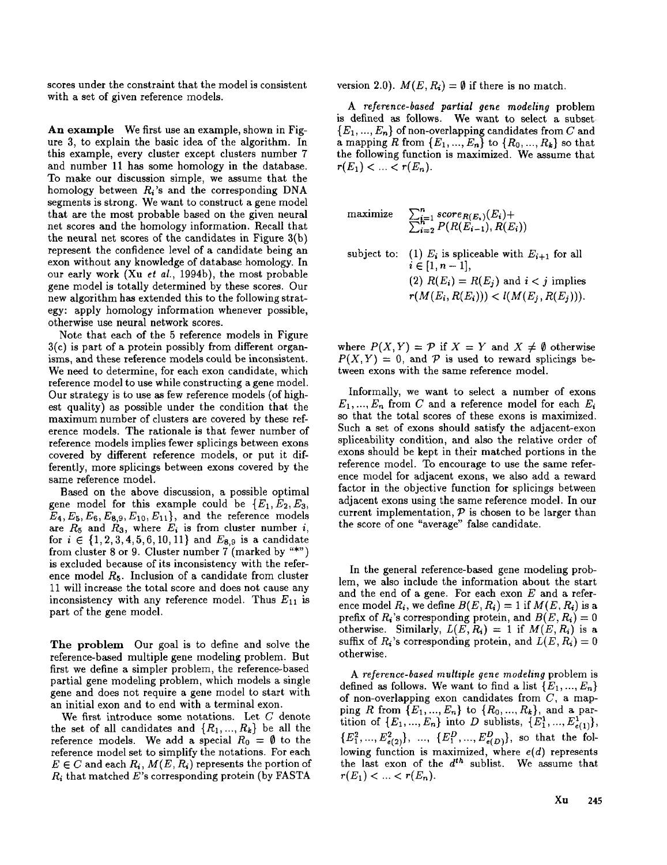scores under the constraint that the model is consistent with a set of given reference models.

An example We first use an example, shown in Figure 3, to explain the basic idea of the algorithm. In this example, every cluster except clusters number 7 and number 11 has some homology in the database. To make our discussion simple, we assume that the homology between  $R_i$ 's and the corresponding DNA segments is strong. We want to construct a gene model that are the most probable based on the given neural net scores and the homology information. Recall that the neural net scores of the candidates in Figure 3(b) represent the confidence level of a candidate being an exon without any knowledge of database homology. In our early work (Xu *et al.,* 1994b), the most probable gene model is totally determined by these scores. Our new algorithm has extended this to the following strategy: apply homology information whenever possible, otherwise use neural network scores.

Note that each of the 5 reference models in Figure 3(c) is part of a protein possibly from different organisms, and these reference models could be inconsistent. We need to determine, for each exon candidate, which reference model to use while constructing a gene model. Our strategy is to use as few reference models (of highest quality) as possible under the condition that the maximum number of clusters are covered by these reference models. The rationale is that fewer number of reference models implies fewer splicings between exons covered by different reference models, or put it differently, more splicings between exons covered by the same reference model.

Based on the above discussion, a possible optimal gene model for this example could be  $\{E_1, E_2, E_3, E_4, E_5, E_6, E_7, E_8, E_8, E_9, E_9, E_1, E_2, E_4, E_4, E_6, E_7, E_8, E_8, E_9, E_8, E_9, E_1, E_2, E_4, E_6, E_7, E_8, E_8, E_8, E_9, E_1, E_2, E_4, E_6, E_7, E_8, E_8, E_8, E_9, E_1, E_2, E_4, E_6, E_7, E$  $E_4, E_5, E_6, E_{8,9}, E_{10}, E_{11}$ , and the reference models are  $R_5$  and  $R_3$ , where  $E_i$  is from cluster number i, for  $i \in \{1, 2, 3, 4, 5, 6, 10, 11\}$  and  $E_{8,9}$  is a candidate from cluster 8 or 9. Cluster number 7 (marked by  $\text{``*''}$ ) is excluded because of its inconsistency with the reference model  $R_5$ . Inclusion of a candidate from cluster 11 will increase the total score and does not cause any inconsistency with any reference model. Thus  $E_{11}$  is part of the gene model.

The problem Our goal is to define and solve the reference-based multiple gene modeling problem. But first we define a simpler problem, the reference-based partial gene modeling problem, which models a single gene and does not require a gene model to start with an initial exon and to end with a terminal exon.

We first introduce some notations. Let C denote the set of all candidates and  $\{R_1, ..., R_k\}$  be all the reference models. We add a special  $R_0 = \emptyset$  to the reference model set to simplify the notations. For each  $E \in C$  and each  $R_i$ ,  $M(E, R_i)$  represents the portion of  $R_i$  that matched E's corresponding protein (by FASTA

version 2.0).  $M(E, R_i) = \emptyset$  if there is no match.

*A reference-based partial gene modeling* problem is defined as follows. We want to select a subset  ${E_1, ..., E_n}$  of non-overlapping candidates from C and a mapping R from  $\{E_1, ..., E_n\}$  to  $\{R_0, ..., R_k\}$  so that the following function is maximized. We assume that  $r(E_1) < ... < r(E_n)$ .

maximize 
$$
\sum_{i=1}^{n} score_{R(E_i)}(E_i) +
$$

$$
\sum_{i=2}^{n} P(R(E_{i-1}), R(E_i))
$$
subject to: (1)  $E_i$  is spliceable with  $E_{i+1}$  for all  $i \in [1, n-1]$ ,  
(2)  $R(E_i) = R(E_j)$  and  $i < j$  implies

 $r(M(E_i, R(E_i))) < l(M(E_i, R(E_i))).$ 

where  $P(X, Y) = P$  if  $X = Y$  and  $X \neq \emptyset$  otherwise  $P(X, Y) = 0$ , and P is used to reward splicings between exons with the same reference model.

Informally, we want to select a number of exons  $E_1,..., E_n$  from C and a reference model for each  $E_i$ so that the total scores of these exons is maximized. Such a set of exons should satisfy the adjacent-exon spliceability condition, and also the relative order of exons should be kept in their matched portions in the reference model. To encourage to use the same reference model for adjacent exons, we also add a reward factor in the objective function for splicings between adjacent exons using the same reference model. In our current implementation,  $P$  is chosen to be larger than the score of one "average" false candidate.

In the general reference-based gene modeling problem, we also include the information about the start and the end of a gene. For each exon  $E$  and a reference model  $R_i$ , we define  $B(E, R_i) = 1$  if  $M(E, R_i)$  is a prefix of  $R_i$ 's corresponding protein, and  $B(E, R_i) = 0$ otherwise. Similarly,  $L(E, R_i) = 1$  if  $M(E, R_i)$  is a suffix of  $R_i$ 's corresponding protein, and  $L(E, R_i) = 0$ otherwise.

*A reference-based multiple gene modeling* problem is defined as follows. We want to find a list  $\{E_1, ..., E_n\}$ of non-overlapping exon candidates from  $C$ , a mapping R from  $\{E_1, ..., E_n\}$  to  $\{R_0, ..., R_k\}$ , and a partition of  $\{E_1, ..., E_n\}$  into D sublists,  $\{E_1^1, ..., E_{e(1)}^1\}$ ,  $\{E_1^2,...,E_{e(2)}^2\}, ~~...,~~ \{E_1^D,...,E_{e(D)}^D\},\text{~so that~ the~}$ lowing function is maximized, where *e(d)* represents the last exon of the  $d^{th}$  sublist. We assume that  $r(E_1) < ... < r(E_n)$ .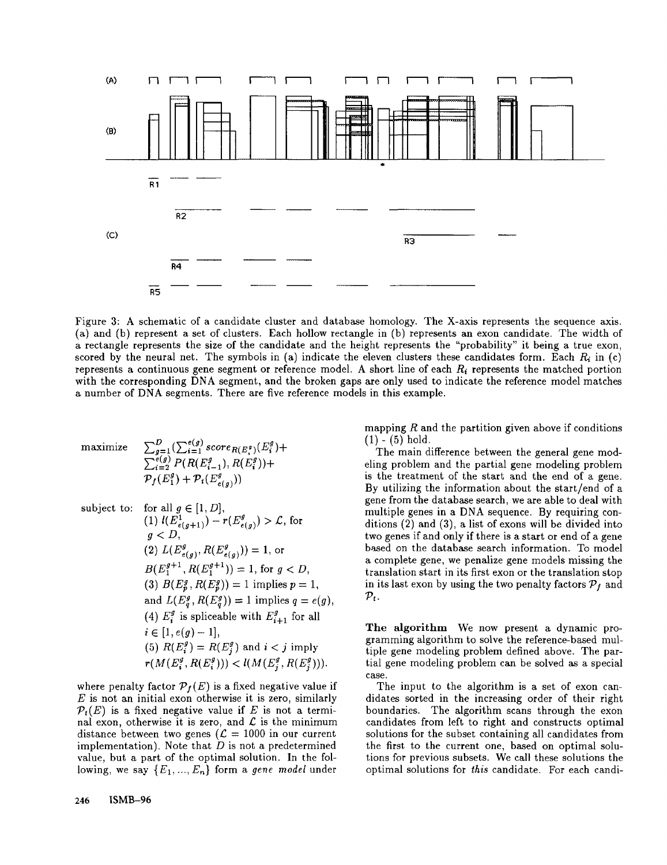

Figure 3: A schematic of a candidate cluster and database homology. The X-axis represents the sequence axis. (a) and (b) represent a set of clusters. Each hollow rectangle in (b) represents an exon candidate. The width a rectangle represents the size of the candidate and the height represents the "probability" it being a true exon, scored by the neural net. The symbols in (a) indicate the eleven clusters these candidates form. Each  $R_i$  in (c) represents a continuous gene segment or reference model. A short line of each *Ri* represents the matched portion with the corresponding DNA segment, and the broken gaps are only used to indicate the reference model matches a number of DNA segments. There are five reference models in this example.

maximize 
$$
\sum_{g=1}^{D} (\sum_{i=1}^{e(g)} score_{R(E_i^g)}(E_i^g) + \sum_{i=2}^{e(g)} P(R(E_{i-1}^g), R(E_i^g)) + P_f(E_1^g) + P_f(E_{e(g)}^g))
$$

subject to: for all  $g \in [1, D]$ ,  $(1)$   $l(E_{e(g+1)}^{1}) - r(E_{e(g)}^{g}) > \mathcal{L}$ , for  $q < D$ . (2)  $L(E_{e(q)}^g, R(E_{e(q)}^g))=1$ , or  $B(E_1^{g+1}, R(E_1^{g+1})) = 1$ , for  $g < D$ , (3)  $B(E_p^g, R(E_p^g)) = 1$  implies  $p = 1$ , and  $L(E_q^g, R(E_q^g)) = 1$  implies  $q = e(g)$ , (4)  $E_i^g$  is spliceable with  $E_{i+1}^g$  for all  $i \in [1, e(g) - 1],$ (5)  $R(E_i^g) = R(E_j^g)$  and  $i < j$  imply  $r(M(E_i^g, R(E_i^g))) < l(M(E_i^g, R(E_i^g))).$ 

where penalty factor  $\mathcal{P}_f(E)$  is a fixed negative value if  $E$  is not an initial exon otherwise it is zero, similarly  $\mathcal{P}_t(E)$  is a fixed negative value if E is not a terminal exon, otherwise it is zero, and  $\mathcal L$  is the minimum distance between two genes ( $\mathcal{L} = 1000$  in our current implementation). Note that  $D$  is not a predetermined value, but a part of the optimal solution. In the following, we say  $\{E_1, ..., E_n\}$  form a *gene model* under

mapping  $R$  and the partition given above if conditions  $(1) - (5)$  hold.

The main difference between the general gene modeling problem and the partial gene modeling problem is the treatment of the start and the end of a gene. By utilizing the information about the start/end of a gene from the database search, we are able to deal with multiple genes in a DNA sequence. By requiring conditions  $(2)$  and  $(3)$ , a list of exons will be divided into two genes if and only if there is a start or end of a gene based on the database search information. To model a complete gene, we penalize gene models missing the translation start in its first exon or the translation stop in its last exon by using the two penalty factors  $\mathcal{P}_f$  and  $\mathcal{P}_{t}$ .

The algorithm We now present a dynamic programming algorithm to solve the reference-based multiple gene modeling problem defined above. The partial gene modeling problem can be solved as a special case.

The input to the algorithm is a set of exon candidates sorted in the increasing order of their right boundaries. The algorithm scans through the exon candidates from left to right and constructs optimal solutions for the subset containing all candidates from the first to the current one, based on optimal solutions for previous subsets. We call these solutions the optimal solutions for *this* candidate. For each candi-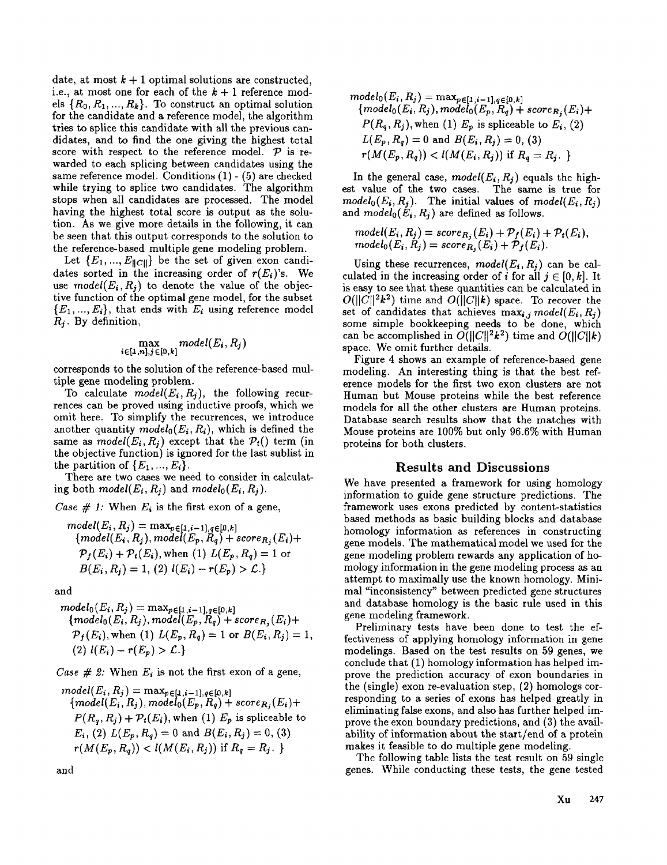date, at most  $k + 1$  optimal solutions are constructed, i.e., at most one for each of the  $k + 1$  reference models  $\{R_0, R_1, ..., R_k\}$ . To construct an optimal solution for the candidate and a reference model, the algorithm tries to splice this candidate with all the previous candidates, and to find the one giving the highest total score with respect to the reference model.  $\mathcal{P}$  is rewarded to each splicing between candidates using the same reference model. Conditions (1)- (5) are checked while trying to splice two candidates. The algorithm stops when all candidates are processed. The model having the highest total score is output as the solution. As we give more details in the following, it can be seen that this output corresponds to the solution to the reference-based multiple gene modeling problem.

Let  $\{E_1, ..., E_{\|C\|}\}$  be the set of given exon candidates sorted in the increasing order of  $r(E_i)$ 's. We use  $model(E_i, R_i)$  to denote the value of the objective function of the optimal gene model, for the subset  ${E_1, ..., E_i}$ , that ends with  $E_i$  using reference model *Rj.* By definition,

$$
\max_{i \in [1,n], j \in [0,k]} model(E_i, R_j)
$$

corresponds to the solution of the reference-based multiple gene modeling problem.

To calculate  $model(E_i, R_j)$ , the following recurrences can be proved using inductive proofs, which we omit here. To simplify the recurrences, we introduce another quantity  $model_0(E_i, R_i)$ , which is defined the same as  $model(E_i, R_i)$  except that the  $P_i()$  term (in the objective function) is ignored for the last sublist in the partition of  $\{E_1, ..., E_i\}$ .

There are two cases we need to consider in calculating both  $model(E_i, R_i)$  and  $model_0(E_i, R_i)$ .

*Case # 1:* When  $E_i$  is the first exon of a gene,

model(E<sub>i</sub>, R<sub>j</sub>) = max<sub>p \in [1, i-1], q \in [0, k]  
\n{model(E<sub>i</sub>, R<sub>j</sub>), model(E<sub>p</sub>, R<sub>q</sub>) + score<sub>R<sub>j</sub></sub>(E<sub>i</sub>) +  
\n
$$
\mathcal{P}_f(E_i) + \mathcal{P}_t(E_i), \text{when (1) } L(E_p, R_q) = 1 \text{ or }
$$
\n
$$
B(E_i, R_j) = 1, (2) l(E_i) - r(E_p) > \mathcal{L}.
$$</sub>

and

$$
model_0(E_i, R_j) = \max_{p \in [1, i-1], q \in [0, k]} \{model_0(E_i, R_j), model(E_p, R_q) + score_{R_j}(E_i) + \mathcal{P}_f(E_i), when (1) L(E_p, R_q) = 1 \text{ or } B(E_i, R_j) = 1, (2) l(E_i) - r(E_p) > \mathcal{L}.
$$

*Case # 2:* When  $E_i$  is not the first exon of a gene,

model(E<sub>i</sub>, R<sub>j</sub>) = max<sub>p</sub> 
$$
\epsilon
$$
[1, i-1],  $q\epsilon$ [0, k]  
\n{model(E<sub>i</sub>, R<sub>j</sub>), model<sub>0</sub>(E<sub>p</sub>, R<sub>q</sub>) + score<sub>R<sub>j</sub></sub>(E<sub>i</sub>) +  
\nP(R<sub>q</sub>, R<sub>j</sub>) + P<sub>t</sub>(E<sub>i</sub>), when (1) E<sub>p</sub> is spliceable to  
\nE<sub>i</sub>, (2) L(E<sub>p</sub>, R<sub>q</sub>) = 0 and B(E<sub>i</sub>, R<sub>j</sub>) = 0, (3)  
\nr(M(E<sub>p</sub>, R<sub>q</sub>)) < l(M(E<sub>i</sub>, R<sub>j</sub>)) if R<sub>q</sub> = R<sub>j</sub>.

*modelo( Ei , Rj ) : maxpe[.1,i\_ ll,qe[O,k ] {modelo( Ei, Rj ), modelo( Ep, nq) + scoreR,* (Ei)+ *P( Rq, Rj ), when* (1) Ep is spliceable to Ei, (2) *L(Ep,* Rq) = 0 and *B(Ei,* Rj) = 0, (3) *r(M(Ep, Rq)) < l(M(Ei,* if Rq : R i. }

In the general case,  $model(E_i, R_j)$  equals the highest value of the two cases. The same is true for  $model_0(E_i, R_i)$ . The initial values of  $model(E_i, R_i)$ and  $model_0(E_i, R_i)$  are defined as follows.

$$
model(E_i, R_j) = score_{R_j}(E_i) + P_f(E_i) + P_t(E_i),
$$
  

$$
model_0(E_i, R_j) = score_{R_j}(E_i) + P_f(E_i).
$$

Using these recurrences,  $model(E_i, R_i)$  can be calculated in the increasing order of i for all  $i \in [0, k]$ . It is easy to see that these quantities can be calculated in  $O(||C||^2k^2)$  time and  $O(||C||k)$  space. To recover the set of candidates that achieves  $\max_{i,j} model(E_i, R_j)$ some simple bookkeeping needs to be done, which can be accomplished in  $O(||C||^2k^2)$  time and  $O(||C||k)$ space. We omit further details.

Figure 4 shows an example of reference-based gene modeling. An interesting thing is that the best reference models for the first two exon clusters are not Human but Mouse proteins while the best reference models for all the other clusters are Human proteins. Database search results show that the matches with Mouse proteins are 100% but only 96.6% with Human proteins for both clusters.

#### Results and Discussions

We have presented a framework for using homology information to guide gene structure predictions. The framework uses exons predicted by content-statistics based methods as basic building blocks and database homology information as references in constructing gene models. The mathematical model we used for the gene modeling problem rewards any application of homology information in the gene modeling process as an attempt to maximally use the known homology. Minimal "inconsistency" between predicted gene structures and database homology is the basic rule used in this gene modeling framework.

Preliminary tests have been done to test the effectiveness of applying homology information in gene modelings. Based on the test results on 59 genes, we conclude that (1) homology information has helped improve the prediction accuracy of exon boundaries in the (single) exon re-evaluation step, (2) homologs responding to a series of exons has helped greatly in eliminating false exons, and also has further helped improve the exon boundary predictions, and (3) the availability of information about the start/end of a protein makes it feasible to do multiple gene modeling.

The following table lists the test result on 59 single genes. While conducting these tests, the gene tested

and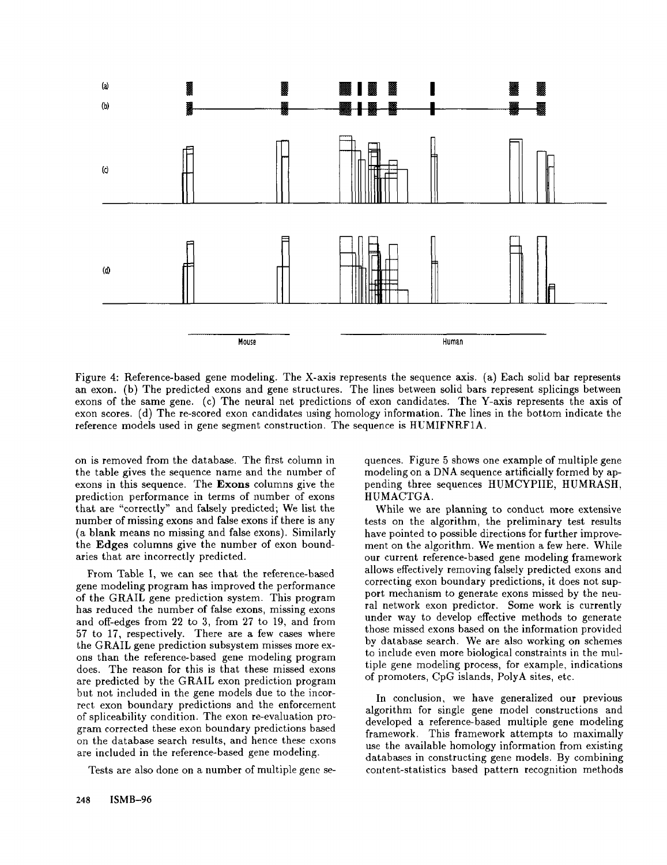

Figure 4: Reference-based gene modeling. The X-axis represents the sequence axis. (a) Each solid bar represents an exon. (b) The predicted exons and gene structures. The lines between solid bars represent splicings between exons of the same gene. (c) The neural net predictions of exon candidates. The Y-axis represents the axis of exon scores. (d) The re-scored exon candidates using homology information. The lines in the bottom indicate the reference models used in gene segment construction. The sequence is HUMIFNRF1A.

on is removed from the database. The first column in the table gives the sequence name and the number of exons in this sequence. The Exons columns give the prediction performance in terms of number of exons that are "correctly" and falsely predicted; We list the number of missing exons and false exons if there is any (a blank means no missing and false exons). Similarly the Edges columns give the number of exon boundaries that are incorrectly predicted.

From Table I, we can see that the reference-based gene modeling program has improved the performance of the GRAIL gene prediction system. This program has reduced the number of false exons, missing exons and off-edges from 22 to 3, from 27 to 19, and from 57 to 17, respectively. There are a few cases where the GRAIL gene prediction subsystem misses more exons than the reference-based gene modeling program does. The reason for this is that these missed exons are predicted by the GRAIL exon prediction program but not included in the gene models due to the incorrect exon boundary predictions and the enforcement of spliceability condition. The exon re-evaluation program corrected these exon boundary predictions based on the database search results, and hence these cxons are included in the reference-based gene modeling.

Tests are also done on a number of multiple gene se-

quences. Figure 5 shows one example of multiple gene modeling on a DNA sequence artificially formed by appending three sequences HUMCYPIIE, HUMRASH, HUMACTGA.

While we are planning to conduct more extensive tests on the algorithm, the preliminary test results have pointed to possible directions for further improvement on the algorithm. We mention a few here. While our current reference-based gene modeling framework allows effectively removing falsely predicted exons and correcting exon boundary predictions, it does not support mechanism to generate exons missed by the neural network exon predictor. Some work is currently under way to develop effective methods to generate those missed exons based on the information provided by database search. We are also working on schemes to include even more biological constraints in the multiple gene modeling process, for example, indications of promoters, CpG islands, PolyA sites, etc.

In conclusion, we have generalized our previous algorithm for single gene model constructions and developed a reference-based multiple gene modeling framework. This framework attempts to maximally use the available homology information from existing databases in constructing gene models. By combining content-statistics based pattern recognition methods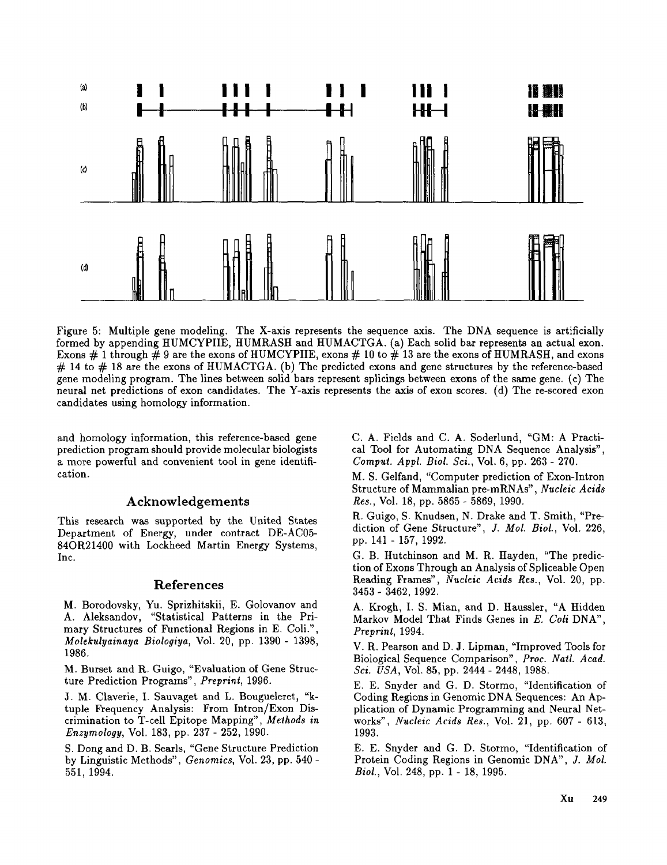

Figure 5: Multiple gene modeling. The X-axis represents the sequence axis. The DNA sequence is artificially formed by appending HUMCYPIIE, HUMRASH and HUMACTGA. (a) Each solid bar represents an actual exon. Exons  $\#$  1 through  $\#$  9 are the exons of HUMCYPIIE, exons  $\#$  10 to  $\#$  13 are the exons of HUMRASH, and exons # 14 to # 18 are the exons of HUMACTGA. (b) The predicted exons and gene structures by the reference-based gene modeling program. The lines between solid bars represent splicings between exons of the same gene. (c) The neural net predictions of exon candidates. The Y-axis represents the axis of exon scores. (d) The re-scored exon candidates using homology information.

and homology information, this reference-based gene prediction program should provide molecular biologists a more powerful and convenient tool in gene identification.

## Acknowledgements

This research was supported by the United States Department of Energy, under contract DE-AC05- 84OR21400 with Lockheed Martin Energy Systems, Inc.

# **References**

M. Borodovsky, Yu. Sprizhitskii, E. Golovanov and A. Aleksandov, "Statistical Patterns in the Primary Structures of Functional Regions in E. Coli.", *Molekulyainaya Biologiya,* Vol. 20, pp. 1390- 1398, 1986.

M. Burset and R. Guigo, "Evaluation of Gene Structure Prediction Programs", *Preprint,* 1996.

J. M. Claverie, I. Sauvaget and L. Bougueleret, "ktuple Frequency Analysis: From Intron/Exon Discrimination to T-cell Epitope Mapping", *Methods in Enzymology,* Vol. 183, pp. 237- 252, 1990.

S. Dong and D. B. Searls, "Gene Structure Prediction by Linguistic Methods", *Gcnomics,* Vol. 23, pp. 540 - 551, 1994.

C. A. Fields and C. A. Soderlund, "GM: A Practical Tool for Automating DNA Sequence Analysis", *Comput. Appl. Biol. Sci.,* Vol. 6, pp. 263 - 270.

M. S. Gelfand, "Computer prediction of Exon-Intron Structure of Mammalian pre-mRNAs", *Nucleic Acids Res.,* Vol. 18, pp. 5865- 5869, 1990.

R. Guigo, S. Knudsen, N. Drake and T. Smith, "Prediction of Gene Structure", *J. Mol. Biol.,* Vol. 226, pp. 141 - 157, 1992.

G. B. Hutchinson and M. R. Hayden, "The prediction of Exons Through an Analysis of Spliceable Open Reading Frames", *Nucleic Acids Rcs.,* Vol. 20, pp. 3453- 3462, 1992.

A. Krogh, I. S. Mian, and D. Haussler, "A Hidden Markov Model That Finds Genes in *E. Coil* DNA", *Preprint,* 1994.

V. R. Pearson and D. J. Lipman, "Improved Tools for Biological Sequence Comparison", *Proc. Natl. Acad. Sci. USA,* Vol. 85, pp. 2444 - 2448, 1988.

E. E. Snyder and G. D. Stormo, "Identification of Coding Regions in Genomic DNA Sequences: An Application of Dynamic Programming and Neural Networks", *Nucleic Acids Res.,* Vol. 21, pp. 607 - 613, 1993.

E. E. Snyder and G. D. Stormo, "Identification of Protein Coding Regions in Genomic DNA", *J. Mol. Biol.,* Vol. 248, pp. 1 - 18, 1995.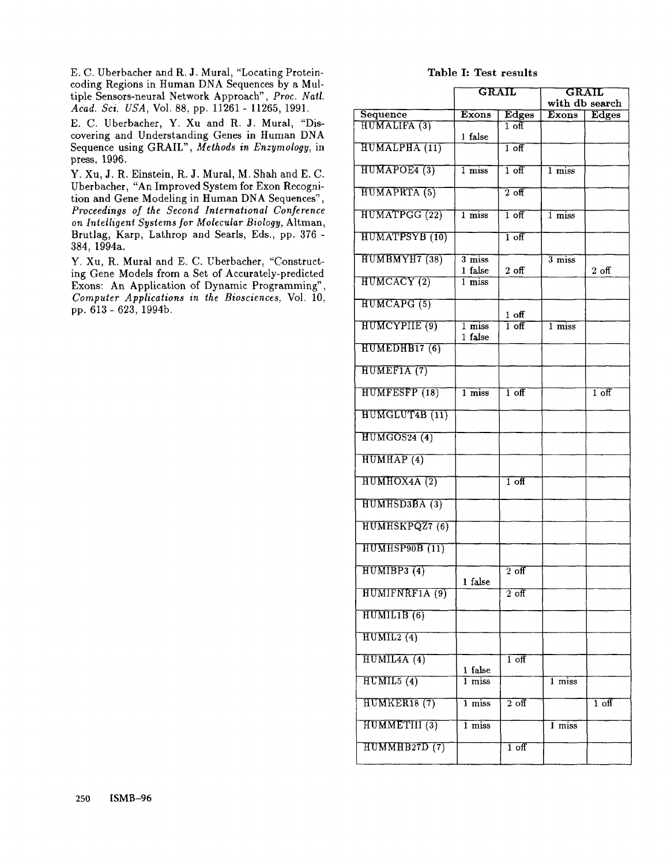E. C. Uberbacher and R. J. Mural, "Locating Proteincoding Regions in Human DNA Sequences by a Multiple Sensors-neural Network Approach", *Proc. Nail. Acad. Sci. USA,* Vol. 88, pp. 11261 - 11265, 1991.

E. C. Uberbacher, Y. Xu and R. J. Mural, "Discovering and Understanding Genes in Human DNA Sequence using GRAIL", *Methods in Enzymology,* in press, 1996.

Y. Xu, J. R. Einstein, R. d. Mural, M. Shah and E. C. Uberbacher, "An Improved System for Exon Recognition and Gene Modeling in Human DNA Sequences", *Proceedings of the Second International Conference on Intelligent Systems for Molecular Biology,* Altman, Brutlag, Karp, Lathrop and Searls, Eds., pp. 376 - 384, 1994a.

Y. Xu, R. Mural and E. C. Uberbacher, "Constructing Gene Models from a Set of Accurately-predicted Exons: An Application of Dynamic Programming", *Computer Applications in the Biosciences,* Vol. 10, pp. 613- 623, 1994b.

# Table I: Test results

|                                 | GRAIL                          |                            | <b>GRAIL</b>        |                               |  |
|---------------------------------|--------------------------------|----------------------------|---------------------|-------------------------------|--|
|                                 | Exons                          |                            | with db search      |                               |  |
| Sequence<br><b>HUMALIFA (3)</b> |                                | Edges<br>1 र्ज             | <b>Exons</b>        | Edges                         |  |
|                                 | 1 false                        |                            |                     |                               |  |
| HUMALPHA (11)                   |                                | $1$ off                    |                     |                               |  |
| HUMAPOE4 (3)                    | $1$ miss                       | $1$ off                    | $1 \overline{miss}$ |                               |  |
| HUMAPRTA (5)                    |                                | $\overline{2}$ off         |                     |                               |  |
| HUMATPGG (22)                   | $1 \overline{miss}$            | $\overline{1 \text{ off}}$ | $1$ miss            |                               |  |
| HUMATPSYB (10)                  |                                | $\overline{1 \text{ off}}$ |                     |                               |  |
| HUMBMYH7 (38)                   | $3 \overline{miss}$<br>1 false | $2$ off                    | $\overline{3}$ miss | $2$ off                       |  |
| HUMCACY (2)                     | 1 miss                         |                            |                     |                               |  |
| HUMCAPG (5)                     |                                | $1$ off                    |                     |                               |  |
| HUMCYPIIE (9)                   | 1 miss<br>1 false              | $\overline{1 \text{ off}}$ | $\overline{1}$ miss |                               |  |
| HUMEDHB17 (6)                   |                                |                            |                     |                               |  |
| HUMEFIA (7)                     |                                |                            |                     |                               |  |
| HUMFESFP (18)                   | $\overline{1}$ miss            | $\overline{1}$ off         |                     | $1^{\overline{\mathrm{off}}}$ |  |
| HUMGLUT4B (11)                  |                                |                            |                     |                               |  |
| HUMGOS24 (4)                    |                                |                            |                     |                               |  |
| HUMHAP <sup>(4)</sup>           |                                |                            |                     |                               |  |
| HUMHOX4A (2)                    |                                | $1$ off                    |                     |                               |  |
| HUMHSD3BA (3)                   |                                |                            |                     |                               |  |
| HUMHSKPQZ7 (6)                  |                                |                            |                     |                               |  |
| HUMHSP90B (11)                  |                                |                            |                     |                               |  |
| HUMIBP3(4)                      | 1 false                        | $\overline{2}$ off         |                     |                               |  |
| HUMIFNRF1A (9)                  |                                | $2\overline{~}$ off        |                     |                               |  |
| HUMILIB(6)                      |                                |                            |                     |                               |  |
| HUMIL2(4)                       |                                |                            |                     |                               |  |
| HUMIL4A (4)                     | 1 false                        | $\overline{1}$ off         |                     |                               |  |
| HUMIL5 (4)                      | $1$ miss                       |                            | $\overline{1}$ miss |                               |  |
| HUMKER18 (7)                    | $\overline{1}$ miss            | $\overline{2 \text{ off}}$ |                     | $1$ off                       |  |
| HUMMETIII (3)                   | $\overline{1}$ miss            |                            | 1 miss              |                               |  |
| HUMMHB27D(7)                    |                                | $\overline{1}$ off         |                     |                               |  |